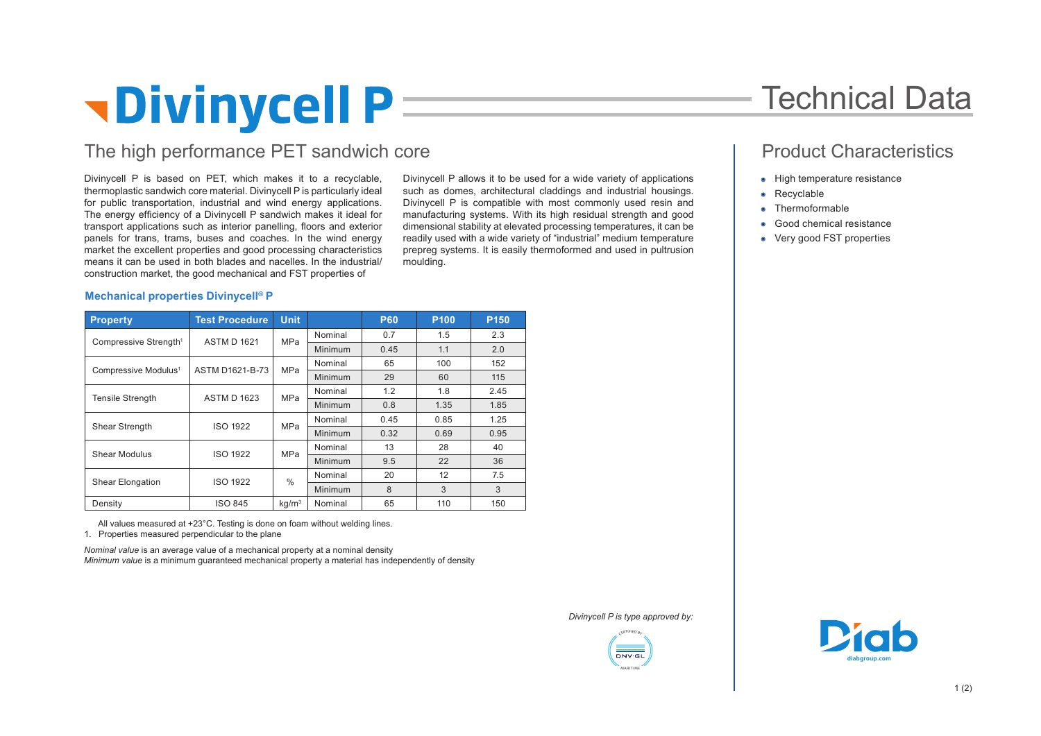# *<u><b>Pivinycell P</u>*

### The high performance PET sandwich core

Divinycell P is based on PET, which makes it to a recyclable, thermoplastic sandwich core material. Divinycell P is particularly ideal for public transportation, industrial and wind energy applications. The energy efficiency of a Divinycell P sandwich makes it ideal for transport applications such as interior panelling, floors and exterior panels for trans, trams, buses and coaches. In the wind energy market the excellent properties and good processing characteristics means it can be used in both blades and nacelles. In the industrial/ construction market, the good mechanical and FST properties of

Divinycell P allows it to be used for a wide variety of applications such as domes, architectural claddings and industrial housings. Divinycell P is compatible with most commonly used resin and manufacturing systems. With its high residual strength and good dimensional stability at elevated processing temperatures, it can be readily used with a wide variety of "industrial" medium temperature prepreg systems. It is easily thermoformed and used in pultrusion moulding.

## Technical Data

### Product Characteristics

- High temperature resistance
- Recyclable
- Thermoformable
- Good chemical resistance
- Very good FST properties

### **Mechanical properties Divinycell® P**

| <b>Property</b>                   | <b>Test Procedure</b> | <b>Unit</b>       |                | <b>P60</b> | P <sub>100</sub> | P <sub>150</sub> |
|-----------------------------------|-----------------------|-------------------|----------------|------------|------------------|------------------|
| Compressive Strength <sup>1</sup> | <b>ASTM D 1621</b>    | <b>MPa</b>        | Nominal        | 0.7        | 1.5              | 2.3              |
|                                   |                       |                   | <b>Minimum</b> | 0.45       | 1.1              | 2.0              |
| Compressive Modulus <sup>1</sup>  | ASTM D1621-B-73       | MPa               | Nominal        | 65         | 100              | 152              |
|                                   |                       |                   | Minimum        | 29         | 60               | 115              |
| <b>Tensile Strength</b>           | <b>ASTM D 1623</b>    | MPa               | Nominal        | 1.2        | 1.8              | 2.45             |
|                                   |                       |                   | <b>Minimum</b> | 0.8        | 1.35             | 1.85             |
| Shear Strength                    | <b>ISO 1922</b>       | <b>MPa</b>        | Nominal        | 0.45       | 0.85             | 1.25             |
|                                   |                       |                   | Minimum        | 0.32       | 0.69             | 0.95             |
| Shear Modulus                     | <b>ISO 1922</b>       | MPa               | Nominal        | 13         | 28               | 40               |
|                                   |                       |                   | Minimum        | 9.5        | 22               | 36               |
| <b>Shear Elongation</b>           | <b>ISO 1922</b>       | $\frac{0}{0}$     | Nominal        | 20         | 12               | 7.5              |
|                                   |                       |                   | Minimum        | 8          | 3                | 3                |
| Density                           | <b>ISO 845</b>        | kq/m <sup>3</sup> | Nominal        | 65         | 110              | 150              |

 All values measured at +23°C. Testing is done on foam without welding lines. 1. Properties measured perpendicular to the plane

*Nominal value* is an average value of a mechanical property at a nominal density *Minimum value* is a minimum guaranteed mechanical property a material has independently of density

*Divinycell P is type approved by:*